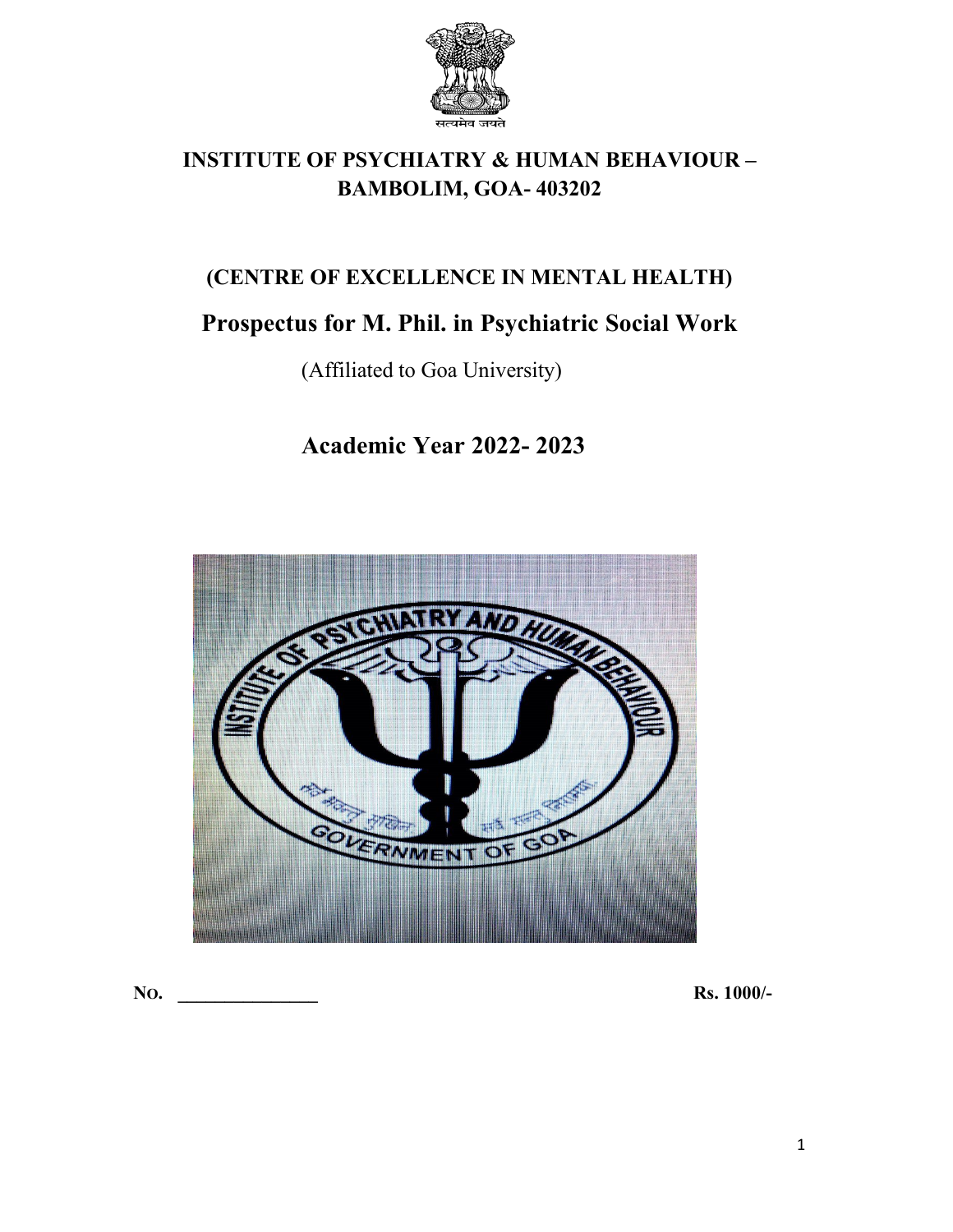

# **INSTITUTE OF PSYCHIATRY & HUMAN BEHAVIOUR – BAMBOLIM, GOA- 403202**

# **(CENTRE OF EXCELLENCE IN MENTAL HEALTH)**

# **Prospectus for M. Phil.in Psychiatric Social Work**

(Affiliated to Goa University)

# **Academic Year 2022- 2023**



**NO. \_\_\_\_\_\_\_\_\_\_\_\_\_\_\_ Rs. 1000/-**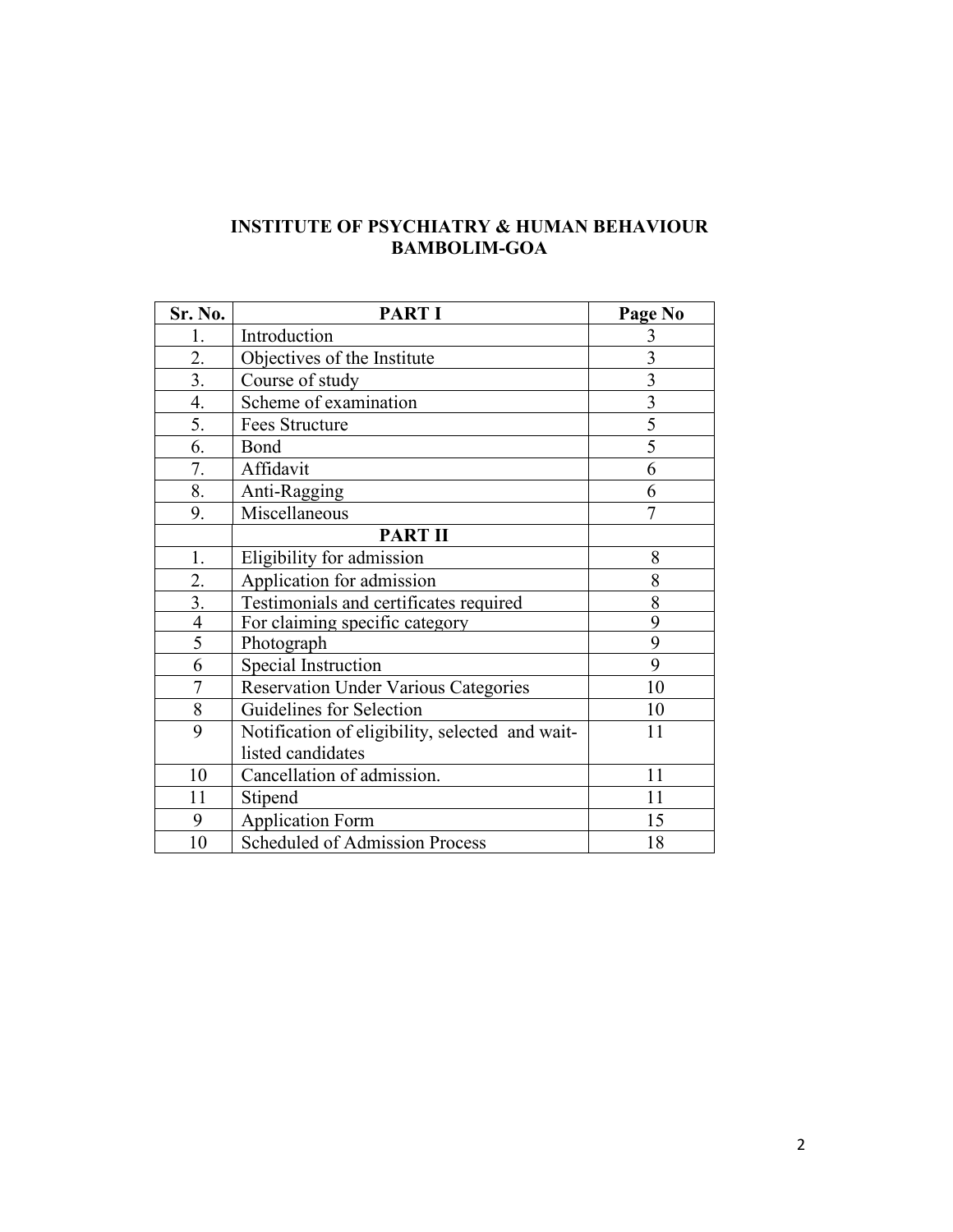## **INSTITUTE OF PSYCHIATRY & HUMAN BEHAVIOUR BAMBOLIM-GOA**

| Sr. No.          | <b>PART I</b>                                   | Page No        |
|------------------|-------------------------------------------------|----------------|
| 1.               | Introduction                                    | 3              |
| 2.               | Objectives of the Institute                     | $\overline{3}$ |
| $\overline{3}$ . | Course of study                                 | 3              |
| 4.               | Scheme of examination                           | 3              |
| 5.               | Fees Structure                                  | 5              |
| 6.               | Bond                                            | 5              |
| 7.               | Affidavit                                       | 6              |
| 8.               | Anti-Ragging                                    | 6              |
| 9.               | Miscellaneous                                   | 7              |
|                  | <b>PART II</b>                                  |                |
| 1.               | Eligibility for admission                       | 8              |
| 2.               | Application for admission                       | 8              |
| 3.               | Testimonials and certificates required          | 8              |
| $\overline{4}$   | For claiming specific category                  | 9              |
| 5                | Photograph                                      | 9              |
| 6                | Special Instruction                             | 9              |
| 7                | <b>Reservation Under Various Categories</b>     | 10             |
| 8                | Guidelines for Selection                        | 10             |
| 9                | Notification of eligibility, selected and wait- | 11             |
|                  | listed candidates                               |                |
| 10               | Cancellation of admission.                      | 11             |
| 11               | Stipend                                         | 11             |
| 9                | <b>Application Form</b>                         | 15             |
| 10               | <b>Scheduled of Admission Process</b>           | 18             |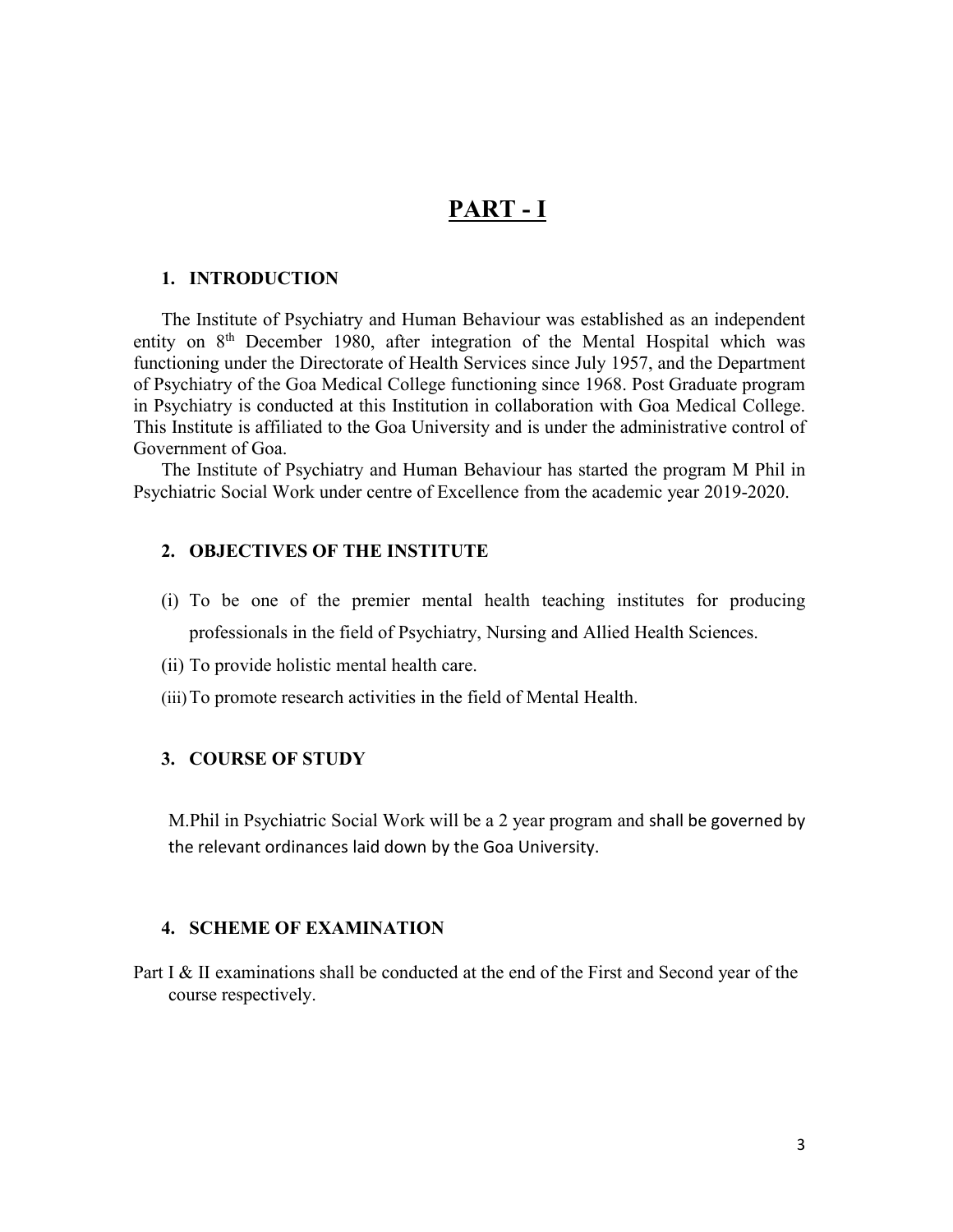# **PART - I**

#### **1. INTRODUCTION**

The Institute of Psychiatry and Human Behaviour was established as an independent entity on 8<sup>th</sup> December 1980, after integration of the Mental Hospital which was functioning under the Directorate of Health Services since July 1957, and the Department of Psychiatry of the Goa Medical College functioning since 1968. Post Graduate program in Psychiatry is conducted at this Institution in collaboration with Goa Medical College. This Institute is affiliated to the Goa University and is under the administrative control of Government of Goa.

The Institute of Psychiatry and Human Behaviour has started the program M Phil in Psychiatric Social Work under centre of Excellence from the academic year 2019-2020.

#### **2. OBJECTIVES OF THE INSTITUTE**

- (i) To be one of the premier mental health teaching institutes for producing professionals in the field of Psychiatry, Nursing and Allied Health Sciences.
- (ii) To provide holistic mental health care.
- (iii)To promote research activities in the field of Mental Health.

#### **3. COURSE OF STUDY**

M.Phil in Psychiatric Social Work will be a 2 year program and shall be governed by the relevant ordinances laid down by the Goa University.

#### **4. SCHEME OF EXAMINATION**

Part I & II examinations shall be conducted at the end of the First and Second year of the course respectively.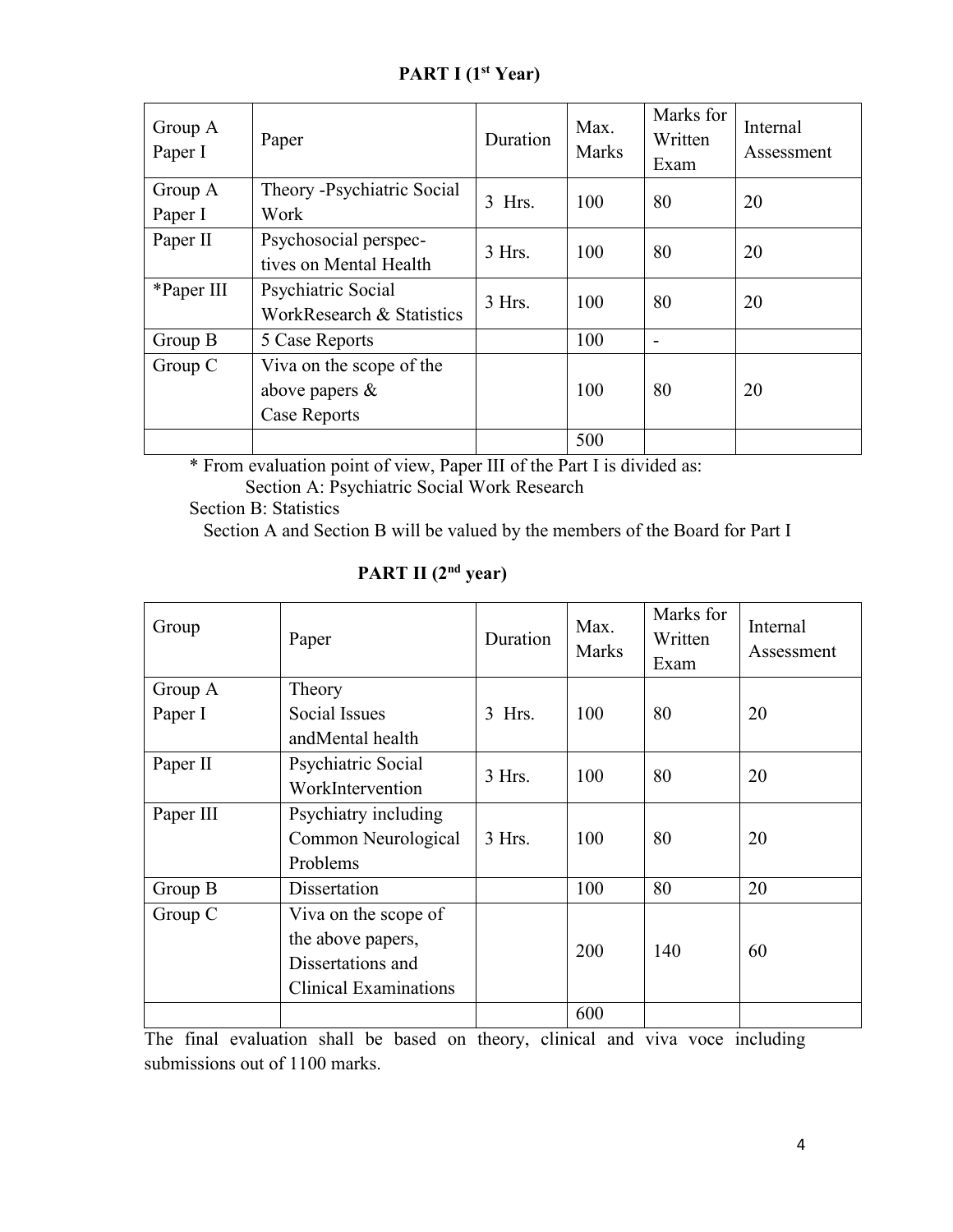| PART I (1 <sup>st</sup> Year) |  |  |
|-------------------------------|--|--|
|-------------------------------|--|--|

| Group A<br>Paper I | Paper                                                         | Duration | Max.<br><b>Marks</b> | Marks for<br>Written<br>Exam | Internal<br>Assessment |
|--------------------|---------------------------------------------------------------|----------|----------------------|------------------------------|------------------------|
| Group A<br>Paper I | Theory -Psychiatric Social<br>Work                            | $3$ Hrs. | 100                  | 80                           | 20                     |
| Paper II           | Psychosocial perspec-<br>tives on Mental Health               | $3$ Hrs. | 100                  | 80                           | 20                     |
| *Paper III         | Psychiatric Social<br>WorkResearch & Statistics               | 3 Hrs.   | 100                  | 80                           | 20                     |
| Group B            | 5 Case Reports                                                |          | 100                  | $\overline{\phantom{a}}$     |                        |
| Group C            | Viva on the scope of the<br>above papers $\&$<br>Case Reports |          | 100                  | 80                           | 20                     |
|                    |                                                               |          | 500                  |                              |                        |

\* From evaluation point of view, Paper III of the Part I is divided as:

Section A: Psychiatric Social Work Research

Section B: Statistics

Section A and Section B will be valued by the members of the Board for Part I

| Group     | Paper                        | Duration | Max.<br>Marks | Marks for<br>Written<br>Exam | Internal<br>Assessment |
|-----------|------------------------------|----------|---------------|------------------------------|------------------------|
| Group A   | Theory                       |          |               |                              |                        |
| Paper I   | Social Issues                | $3$ Hrs. | 100           | 80                           | 20                     |
|           | andMental health             |          |               |                              |                        |
| Paper II  | Psychiatric Social           | 3 Hrs.   | 100           | 80                           | 20                     |
|           | WorkIntervention             |          |               |                              |                        |
| Paper III | Psychiatry including         |          |               |                              |                        |
|           | Common Neurological          | $3$ Hrs. | 100           | 80                           | 20                     |
|           | Problems                     |          |               |                              |                        |
| Group B   | Dissertation                 |          | 100           | 80                           | 20                     |
| Group C   | Viva on the scope of         |          |               |                              |                        |
|           | the above papers,            |          | 200           | 140                          | 60                     |
|           | Dissertations and            |          |               |                              |                        |
|           | <b>Clinical Examinations</b> |          |               |                              |                        |
|           |                              |          | 600           |                              |                        |

## **PART II (2 nd year)**

The final evaluation shall be based on theory, clinical and viva voce including submissions out of 1100 marks.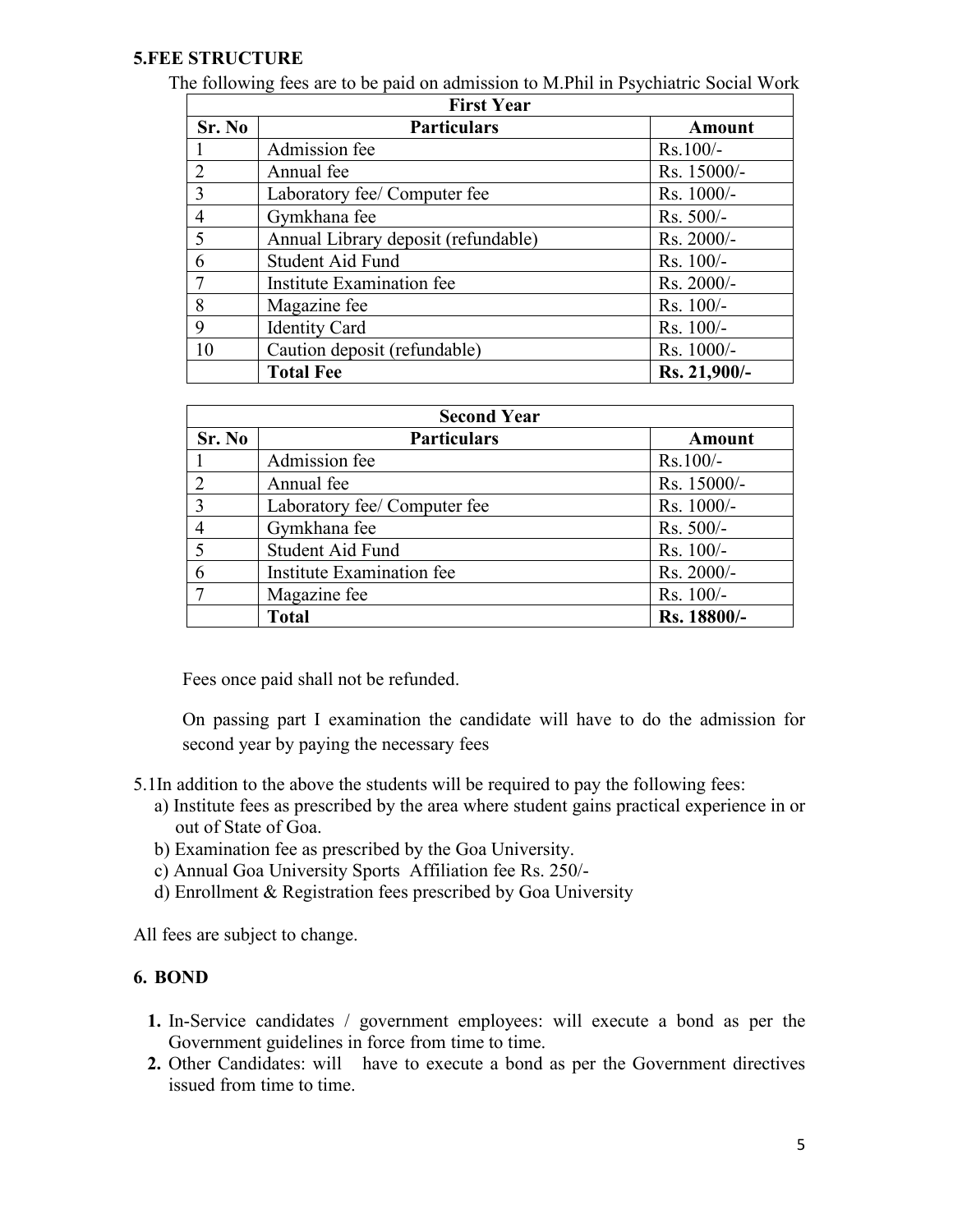#### **5.FEE STRUCTURE**

The following fees are to be paid on admission to M.Phil in Psychiatric Social Work

| <b>First Year</b> |                                     |               |  |  |
|-------------------|-------------------------------------|---------------|--|--|
| Sr. No            | <b>Particulars</b>                  | <b>Amount</b> |  |  |
|                   | Admission fee                       | $Rs.100/-$    |  |  |
| $\mathcal{D}$     | Annual fee                          | Rs. 15000/-   |  |  |
| 3                 | Laboratory fee/ Computer fee        | Rs. 1000/-    |  |  |
| $\overline{4}$    | Gymkhana fee                        | $Rs. 500/-$   |  |  |
| 5                 | Annual Library deposit (refundable) | $Rs. 2000/-$  |  |  |
| 6                 | Student Aid Fund                    | $Rs. 100/-$   |  |  |
| $\overline{7}$    | Institute Examination fee           | Rs. 2000/-    |  |  |
| 8                 | Magazine fee                        | $Rs. 100/-$   |  |  |
| 9                 | <b>Identity Card</b>                | $Rs. 100/-$   |  |  |
| 10                | Caution deposit (refundable)        | Rs. 1000/-    |  |  |
|                   | <b>Total Fee</b>                    | Rs. 21,900/-  |  |  |

| <b>Second Year</b> |                              |             |  |
|--------------------|------------------------------|-------------|--|
| Sr. No             | <b>Particulars</b>           | Amount      |  |
|                    | Admission fee                | $Rs.100/-$  |  |
| 2                  | Annual fee                   | Rs. 15000/- |  |
| 3                  | Laboratory fee/ Computer fee | Rs. 1000/-  |  |
| $\overline{4}$     | Gymkhana fee                 | $Rs. 500/-$ |  |
|                    | <b>Student Aid Fund</b>      | Rs. 100/-   |  |
| 6                  | Institute Examination fee    | Rs. 2000/-  |  |
| 7                  | Magazine fee                 | $Rs. 100/-$ |  |
|                    | <b>Total</b>                 | Rs. 18800/- |  |

Fees once paid shall not be refunded.

On passing part I examination the candidate will have to do the admission for second year by paying the necessary fees

- 5.1In addition to the above the students will be required to pay the following fees:
	- a) Institute fees as prescribed by the area where student gains practical experience in or out of State of Goa.
	- b) Examination fee as prescribed by the Goa University.
	- c) Annual Goa University Sports Affiliation fee Rs. 250/-
	- d) Enrollment & Registration fees prescribed by Goa University

All fees are subject to change.

#### **6. BOND**

- **1.** In-Service candidates / government employees: will execute a bond as per the Government guidelines in force from time to time.
- **2.** Other Candidates: will have to execute a bond as per the Government directives issued from time to time.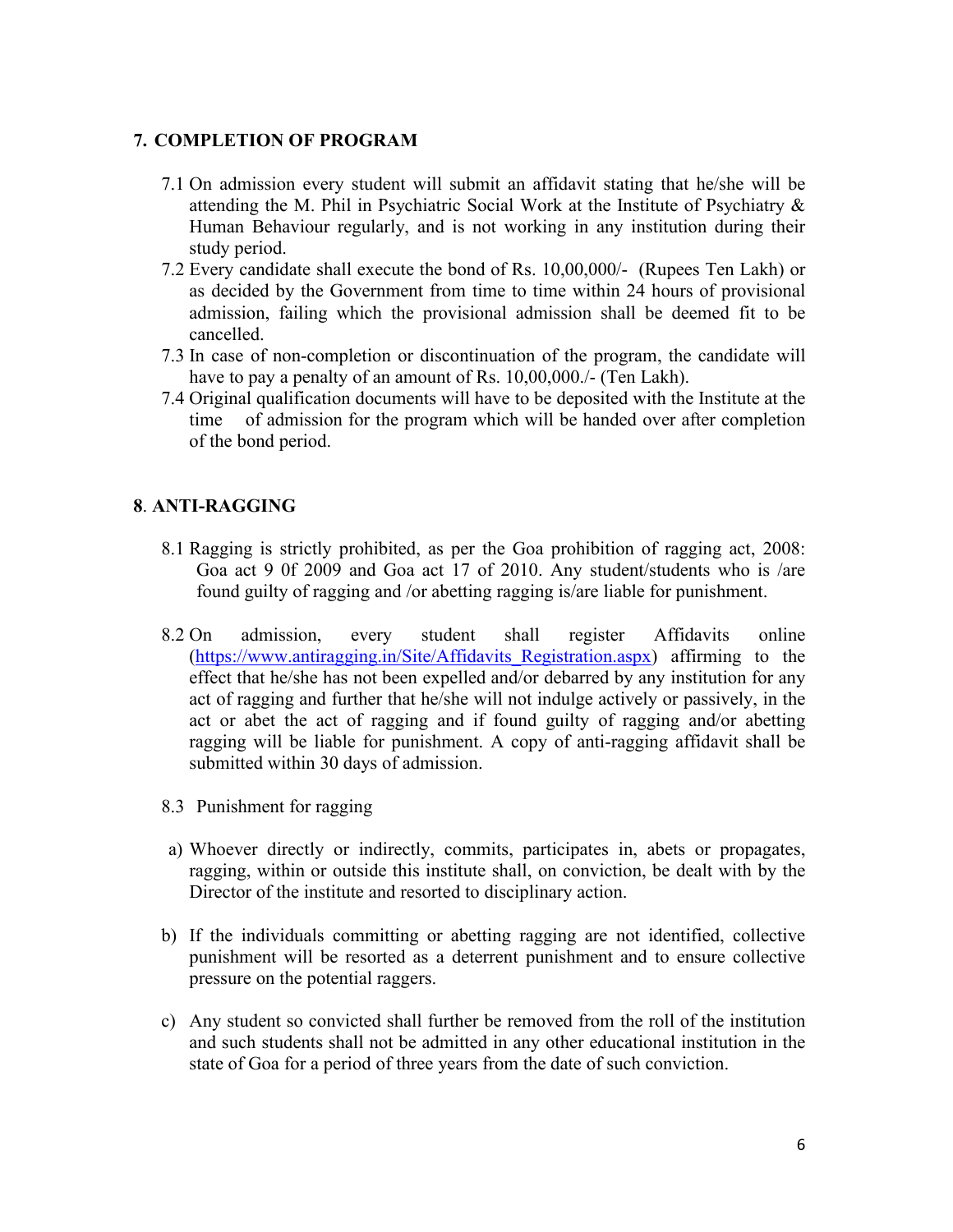#### **7. COMPLETION OF PROGRAM**

- 7.1 On admission every student will submit an affidavit stating that he/she will be attending the M. Phil in Psychiatric Social Work at the Institute of Psychiatry & Human Behaviour regularly, and is not working in any institution during their study period.
- 7.2 Every candidate shall execute the bond of Rs. 10,00,000/- (Rupees Ten Lakh) or as decided by the Government from time to time within 24 hours of provisional admission, failing which the provisional admission shall be deemed fit to be cancelled.
- 7.3 In case of non-completion or discontinuation of the program, the candidate will have to pay a penalty of an amount of Rs. 10,00,000./- (Ten Lakh).
- 7.4 Original qualification documents will have to be deposited with the Institute at the time of admission for the program which will be handed over after completion of the bond period.

## **8**. **ANTI-RAGGING**

- 8.1 Ragging is strictly prohibited, as per the Goa prohibition of ragging act, 2008: Goa act 9 0f 2009 and Goa act 17 of 2010. Any student/students who is /are found guilty of ragging and /or abetting ragging is/are liable for punishment.
- 8.2 On admission, every student shall register Affidavits online (https://www.antiragging.in/Site/Affidavits Registration.aspx) affirming to the effect that he/she has not been expelled and/or debarred by any institution for any act of ragging and further that he/she will not indulge actively or passively, in the act or abet the act of ragging and if found guilty of ragging and/or abetting ragging will be liable for punishment. A copy of anti-ragging affidavit shall be submitted within 30 days of admission.
- 8.3 Punishment for ragging
- a) Whoever directly or indirectly, commits, participates in, abets or propagates, ragging, within or outside this institute shall, on conviction, be dealt with by the Director of the institute and resorted to disciplinary action.
- b) If the individuals committing or abetting ragging are not identified, collective punishment will be resorted as a deterrent punishment and to ensure collective pressure on the potential raggers.
- c) Any student so convicted shall further be removed from the roll of the institution and such students shall not be admitted in any other educational institution in the state of Goa for a period of three years from the date of such conviction.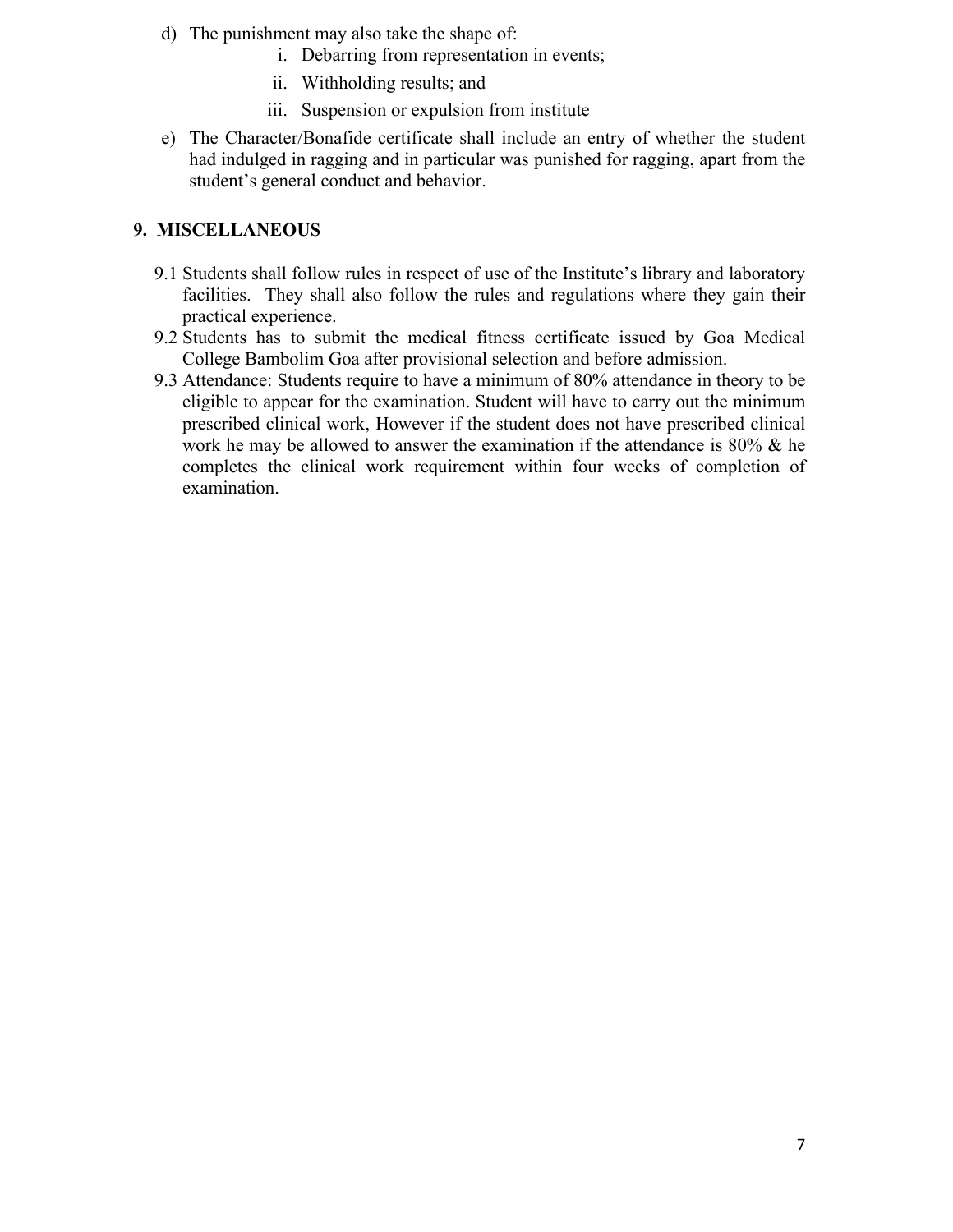- d) The punishment may also take the shape of:
	- i. Debarring from representation in events;
	- ii. Withholding results; and
	- iii. Suspension or expulsion from institute
- e) The Character/Bonafide certificate shall include an entry of whether the student had indulged in ragging and in particular was punished for ragging, apart from the student's general conduct and behavior.

## **9. MISCELLANEOUS**

- 9.1 Students shall follow rules in respect of use of the Institute's library and laboratory facilities. They shall also follow the rules and regulations where they gain their practical experience.
- 9.2 Students has to submit the medical fitness certificate issued by Goa Medical College Bambolim Goa after provisional selection and before admission.
- 9.3 Attendance: Students require to have a minimum of 80% attendance in theory to be eligible to appear for the examination. Student will have to carry out the minimum prescribed clinical work, However if the student does not have prescribed clinical work he may be allowed to answer the examination if the attendance is  $80\%$  & he completes the clinical work requirement within four weeks of completion of examination.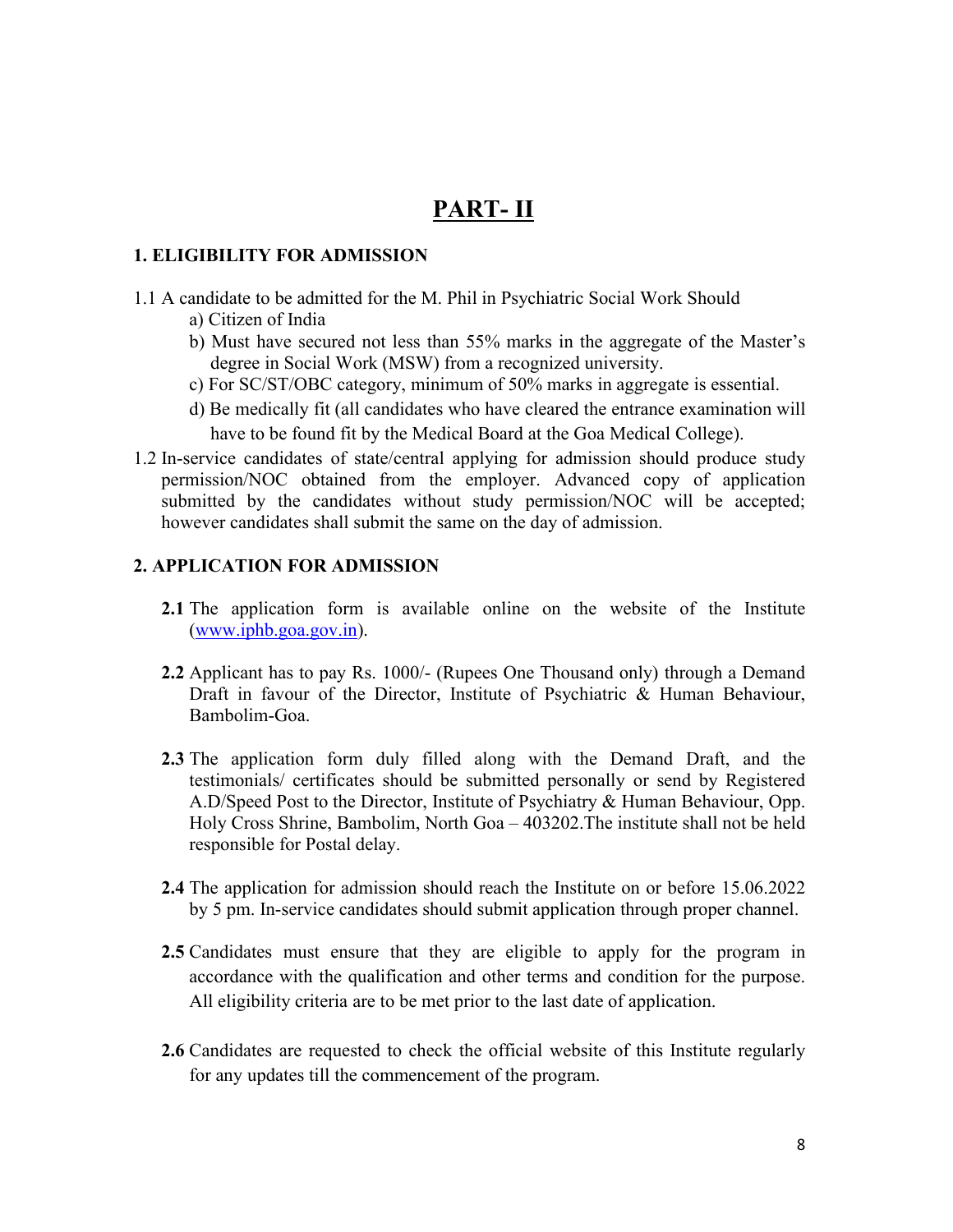# **PART- II**

#### **1. ELIGIBILITY FOR ADMISSION**

- 1.1 A candidate to be admitted for the M. Phil in Psychiatric Social Work Should
	- a) Citizen of India
	- b) Must have secured not less than 55% marks in the aggregate of the Master's degree in Social Work (MSW) from a recognized university.
	- c) For SC/ST/OBC category, minimum of 50% marks in aggregate is essential.
	- d) Be medically fit (all candidates who have cleared the entrance examination will have to be found fit by the Medical Board at the Goa Medical College).
- 1.2 In-service candidates of state/central applying for admission should produce study permission/NOC obtained from the employer. Advanced copy of application submitted by the candidates without study permission/NOC will be accepted; however candidates shall submit the same on the day of admission.

#### **2. APPLICATION FOR ADMISSION**

- **2.1** The application form is available online on the website of the Institute ([www.iphb.goa.gov.in\)](http://www.iphb.goa.gov.in).
- **2.2** Applicant has to pay Rs. 1000/- (Rupees One Thousand only) through a Demand Draft in favour of the Director, Institute of Psychiatric & Human Behaviour, Bambolim-Goa.
- **2.3** The application form duly filled along with the Demand Draft, and the testimonials/ certificates should be submitted personally or send by Registered A.D/Speed Post to the Director, Institute of Psychiatry & Human Behaviour, Opp. Holy Cross Shrine, Bambolim, North Goa – 403202.The institute shall not be held responsible for Postal delay.
- **2.4** The application for admission should reach the Institute on or before 15.06.2022 by 5 pm. In-service candidates should submit application through proper channel.
- **2.5** Candidates must ensure that they are eligible to apply for the program in accordance with the qualification and other terms and condition for the purpose. All eligibility criteria are to be met prior to the last date of application.
- **2.6** Candidates are requested to check the official website of this Institute regularly for any updates till the commencement of the program.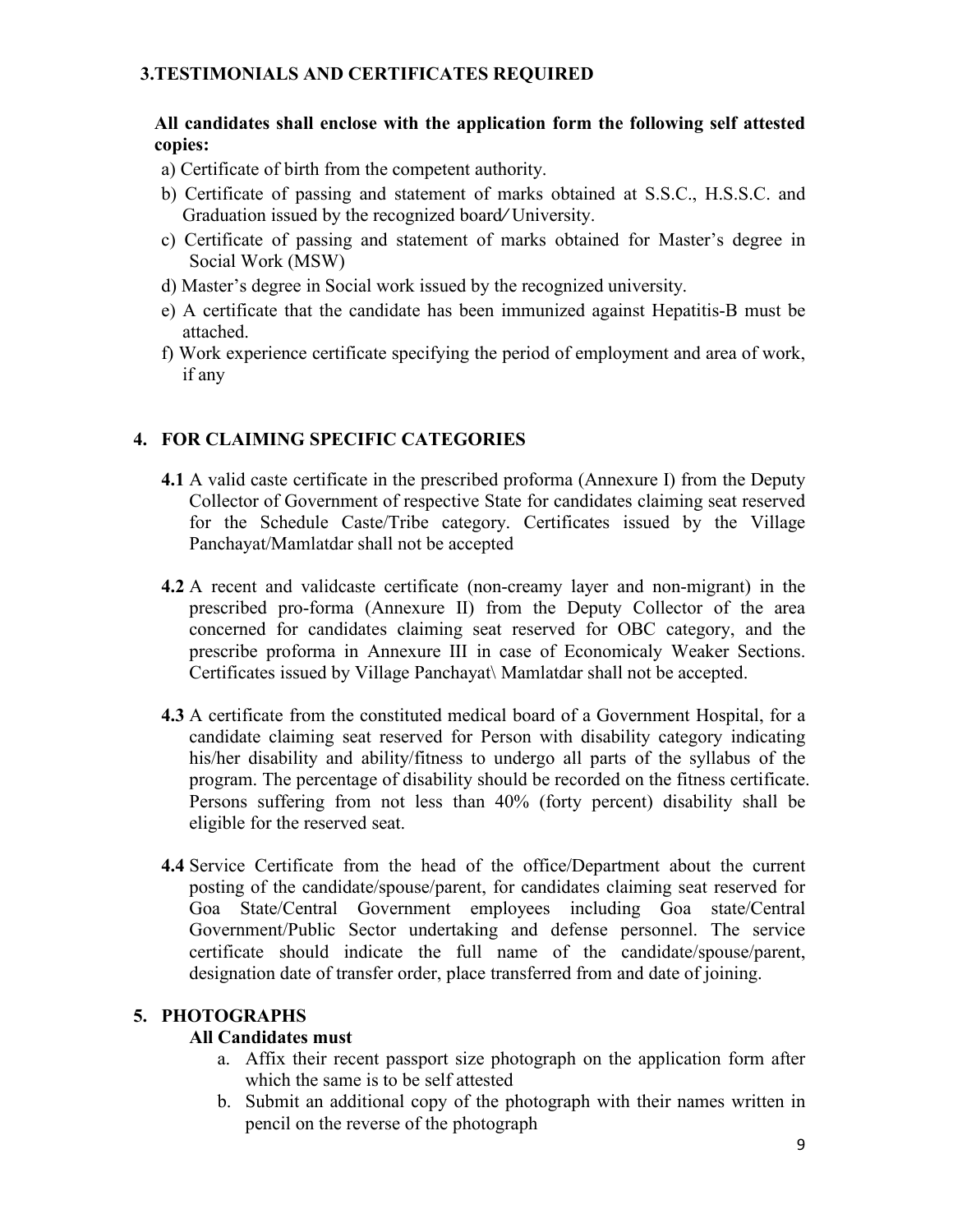#### **3.TESTIMONIALS AND CERTIFICATES REQUIRED**

#### **All candidates shall enclose with the application form the following self attested copies:**

- a) Certificate of birth from the competent authority.
- b) Certificate of passing and statement of marks obtained at S.S.C., H.S.S.C. and Graduation issued by the recognized board*/* University.
- c) Certificate of passing and statement of marks obtained for Master's degree in Social Work (MSW)
- d) Master's degree in Social work issued by the recognized university.
- e) A certificate that the candidate has been immunized against Hepatitis-B must be attached.
- f) Work experience certificate specifying the period of employment and area of work, if any

## **4. FOR CLAIMING SPECIFIC CATEGORIES**

- **4.1** A valid caste certificate in the prescribed proforma (Annexure I) from the Deputy Collector of Government of respective State for candidates claiming seat reserved for the Schedule Caste/Tribe category. Certificates issued by the Village Panchayat/Mamlatdar shall not be accepted
- **4.2** A recent and validcaste certificate (non-creamy layer and non-migrant) in the prescribed pro-forma (Annexure II) from the Deputy Collector of the area concerned for candidates claiming seat reserved for OBC category, and the prescribe proforma in Annexure III in case of Economicaly Weaker Sections. Certificates issued by Village Panchayat\ Mamlatdar shall not be accepted.
- **4.3** A certificate from the constituted medical board of a Government Hospital, for a candidate claiming seat reserved for Person with disability category indicating his/her disability and ability/fitness to undergo all parts of the syllabus of the program. The percentage of disability should be recorded on the fitness certificate. Persons suffering from not less than 40% (forty percent) disability shall be eligible for the reserved seat.
- **4.4** Service Certificate from the head of the office/Department about the current posting of the candidate/spouse/parent, for candidates claiming seat reserved for Goa State/Central Government employees including Goa state/Central Government/Public Sector undertaking and defense personnel. The service certificate should indicate the full name of the candidate/spouse/parent, designation date of transfer order, place transferred from and date of joining.

#### **5. PHOTOGRAPHS**

#### **All Candidates must**

- a. Affix their recent passport size photograph on the application form after which the same is to be self attested
- b. Submit an additional copy of the photograph with their names written in pencil on the reverse of the photograph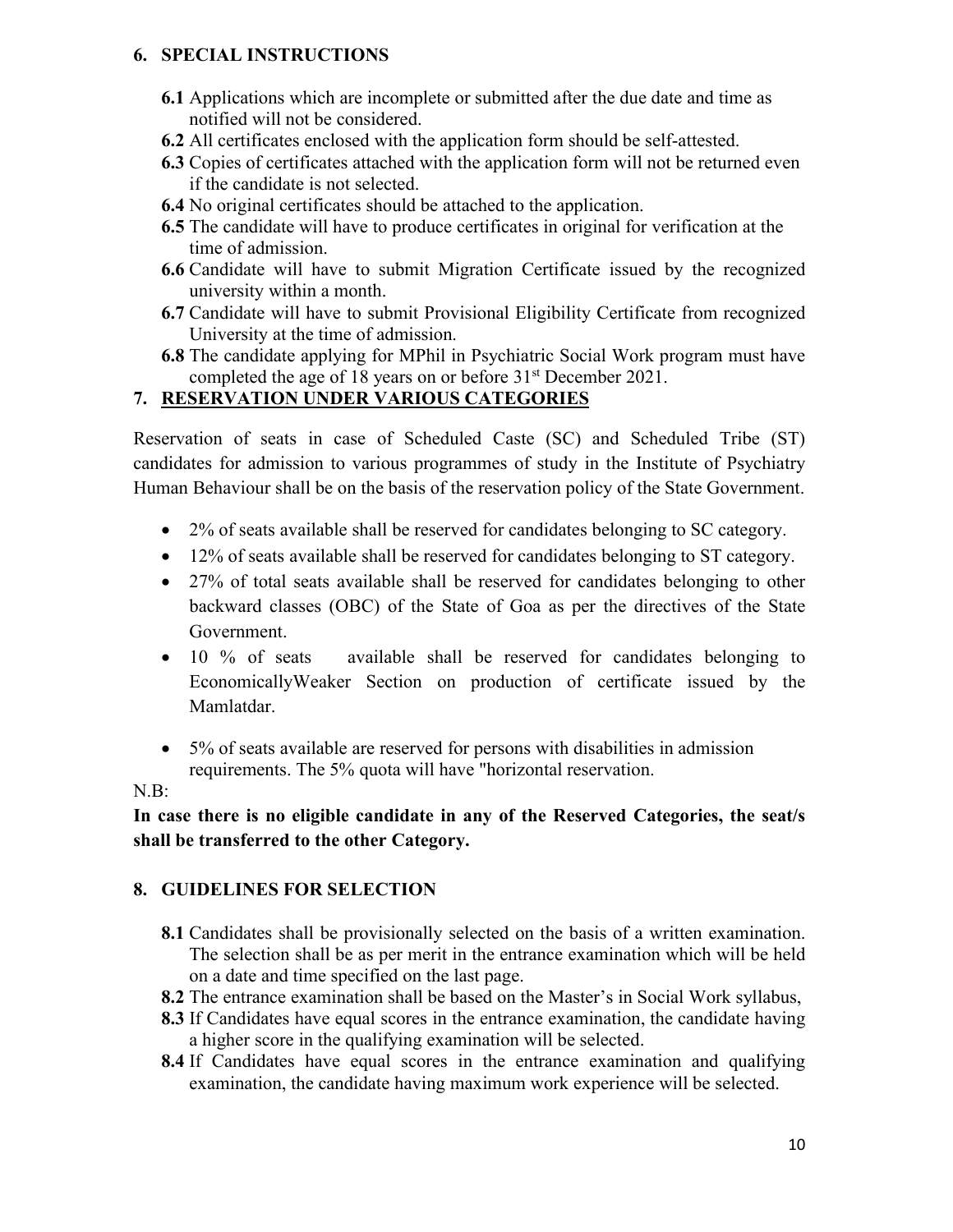#### **6. SPECIAL INSTRUCTIONS**

- **6.1** Applications which are incomplete or submitted after the due date and time as notified will not be considered.
- **6.2** All certificates enclosed with the application form should be self-attested.
- **6.3** Copies of certificates attached with the application form will not be returned even if the candidate is not selected.
- **6.4** No original certificates should be attached to the application.
- **6.5** The candidate will have to produce certificates in original for verification at the time of admission.
- **6.6** Candidate will have to submit Migration Certificate issued by the recognized university within a month.
- **6.7** Candidate will have to submit Provisional Eligibility Certificate from recognized University at the time of admission.
- **6.8** The candidate applying for MPhil in Psychiatric Social Work program must have completed the age of 18 years on or before 31 st December 2021.

## **7. RESERVATION UNDER VARIOUS CATEGORIES**

Reservation of seats in case of Scheduled Caste (SC) and Scheduled Tribe (ST) candidates for admission to various programmes of study in the Institute of Psychiatry Human Behaviour shall be on the basis of the reservation policy of the State Government.

- 2% of seats available shall be reserved for candidates belonging to SC category.
- 12% of seats available shall be reserved for candidates belonging to ST category.
- 27% of total seats available shall be reserved for candidates belonging to other backward classes (OBC) of the State of Goa as per the directives of the State Government.
- 10 % of seats available shall be reserved for candidates belonging to EconomicallyWeaker Section on production of certificate issued by the Mamlatdar.
- 5% of seats available are reserved for persons with disabilities in admission requirements. The 5% quota will have "horizontal reservation.

#### N.B:

**In casethere isno eligible candidate in any of the Reserved Categories, the seat/s shall** be transferred to the other Category.

#### **8. GUIDELINES FOR SELECTION**

- **8.1** Candidates shall be provisionally selected on the basis of a written examination. The selection shall be as per merit in the entrance examination which will be held on a date and time specified on the last page.
- **8.2** The entrance examination shall be based on the Master's in Social Work syllabus,
- **8.3** If Candidates have equal scores in the entrance examination, the candidate having a higher score in the qualifying examination will be selected.
- **8.4** If Candidates have equal scores in the entrance examination and qualifying examination, the candidate having maximum work experience will be selected.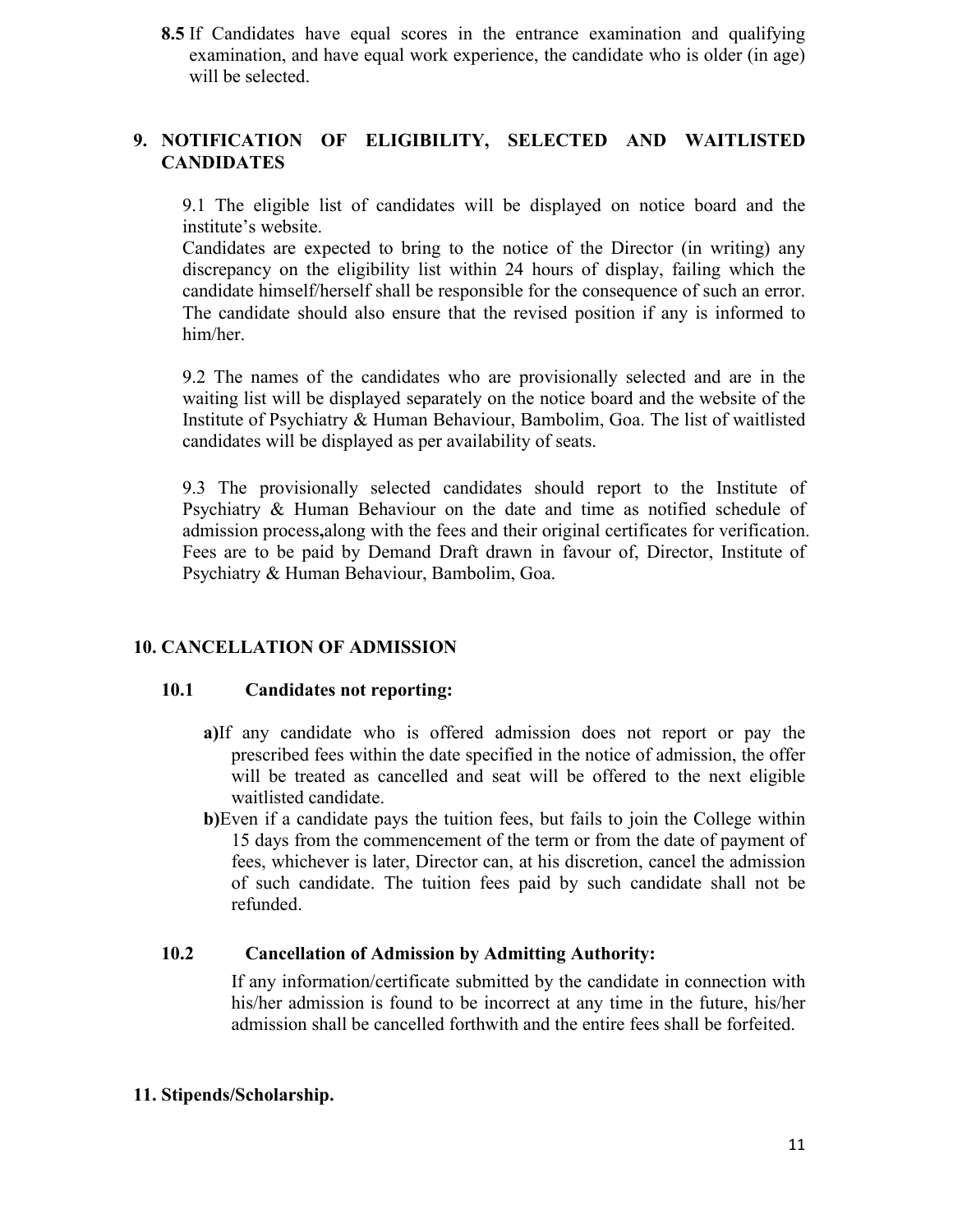**8.5** If Candidates have equal scores in the entrance examination and qualifying examination, and have equal work experience, the candidate who is older (in age) will be selected.

## **9. NOTIFICATION OF ELIGIBILITY, SELECTED AND WAITLISTED CANDIDATES**

9.1 The eligible list of candidates will be displayed on notice board and the institute's website.

Candidates are expected to bring to the notice of the Director (in writing) any discrepancy on the eligibility list within 24 hours of display, failing which the candidate himself/herself shall be responsible for the consequence of such an error. The candidate should also ensure that the revised position if any is informed to him/her.

9.2 The names of the candidates who are provisionally selected and are in the waiting list will be displayed separately on the notice board and the website of the Institute of Psychiatry & Human Behaviour, Bambolim, Goa. The list of waitlisted candidates will be displayed as per availability of seats.

9.3 The provisionally selected candidates should report to the Institute of Psychiatry & Human Behaviour on the date and time as notified schedule of admission process**,**along with the fees and their original certificates for verification. Fees are to be paid by Demand Draft drawn in favour of, Director, Institute of Psychiatry & Human Behaviour, Bambolim, Goa.

#### **10. CANCELLATION OF ADMISSION**

#### **10.1 Candidates not reporting:**

- **a)**If any candidate who is offered admission does not report or pay the prescribed fees within the date specified in the notice of admission, the offer will be treated as cancelled and seat will be offered to the next eligible waitlisted candidate.
- **b)**Even if a candidate pays the tuition fees, but fails to join the College within 15 days from the commencement of the term or from the date of payment of fees, whichever is later, Director can, at his discretion, cancel the admission of such candidate. The tuition fees paid by such candidate shall not be refunded.

#### **10.2 Cancellation of Admission by Admitting Authority:**

If any information/certificate submitted by the candidate in connection with his/her admission is found to be incorrect at any time in the future, his/her admission shall be cancelled forthwith and the entire fees shall be forfeited.

#### **11. Stipends/Scholarship.**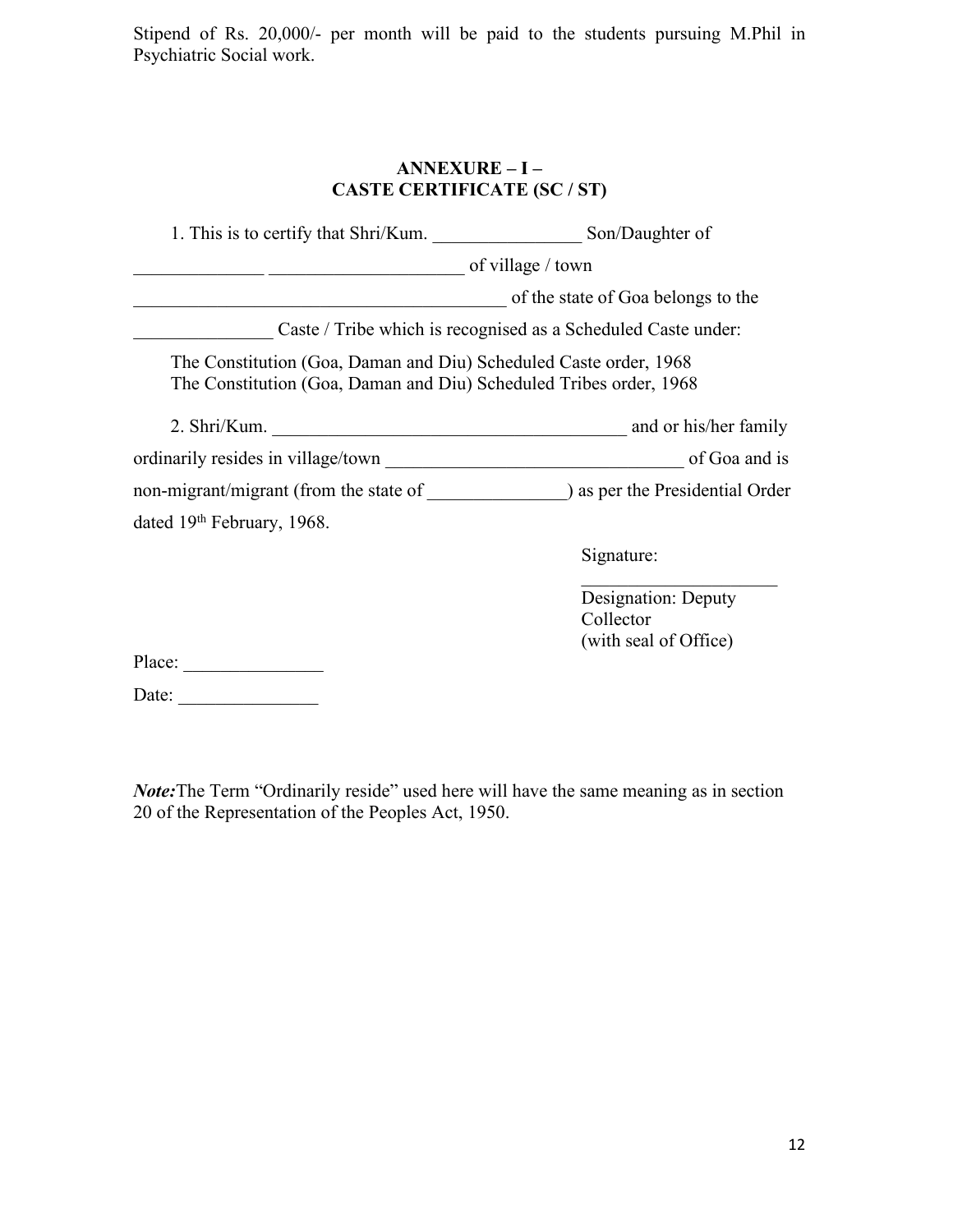Stipend of Rs. 20,000/- per month will be paid to the students pursuing M.Phil in Psychiatric Social work.

### **ANNEXURE – I – CASTE CERTIFICATE (SC / ST)**

| 1. This is to certify that Shri/Kum. Son/Daughter of                                                                                    |                                                               |
|-----------------------------------------------------------------------------------------------------------------------------------------|---------------------------------------------------------------|
|                                                                                                                                         | of village / town                                             |
|                                                                                                                                         | of the state of Goa belongs to the                            |
|                                                                                                                                         | Caste / Tribe which is recognised as a Scheduled Caste under: |
| The Constitution (Goa, Daman and Diu) Scheduled Caste order, 1968<br>The Constitution (Goa, Daman and Diu) Scheduled Tribes order, 1968 |                                                               |
|                                                                                                                                         |                                                               |
|                                                                                                                                         |                                                               |
|                                                                                                                                         |                                                               |
| dated 19th February, 1968.                                                                                                              |                                                               |
|                                                                                                                                         | Signature:                                                    |
|                                                                                                                                         | Designation: Deputy<br>Collector<br>(with seal of Office)     |
| Place:                                                                                                                                  |                                                               |
| Date:                                                                                                                                   |                                                               |

*Note:* The Term "Ordinarily reside" used here will have the same meaning as in section 20 of the Representation of the Peoples Act, 1950.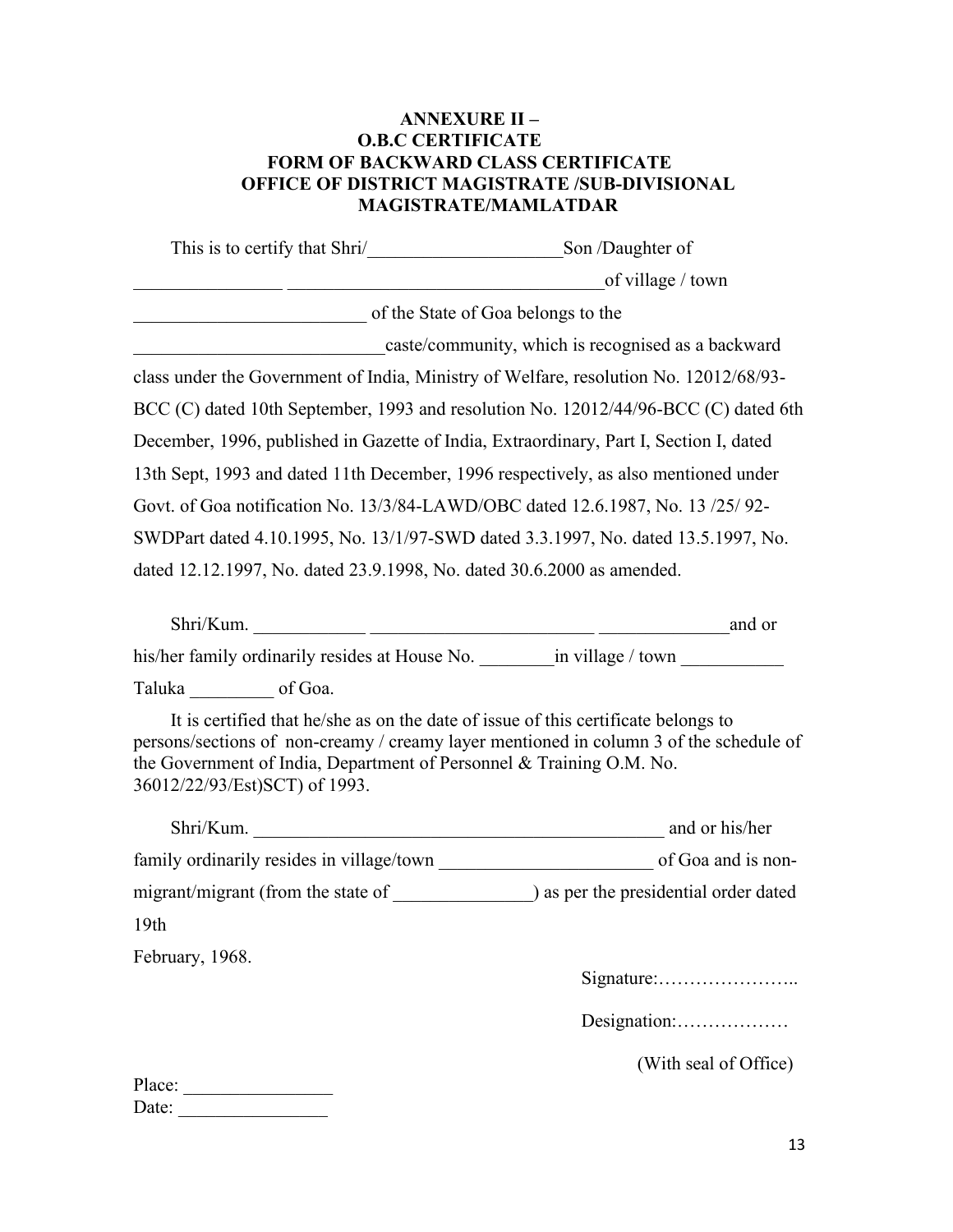#### **ANNEXURE II – O.B.C CERTIFICATE FORM OF BACKWARD CLASS CERTIFICATE OFFICE OF DISTRICT MAGISTRATE /SUB-DIVISIONAL MAGISTRATE/MAMLATDAR**

| This is to certify that Shri/ Son /Daughter of                                                        |                                                                                                                                                                              |  |
|-------------------------------------------------------------------------------------------------------|------------------------------------------------------------------------------------------------------------------------------------------------------------------------------|--|
|                                                                                                       | of village / town                                                                                                                                                            |  |
| of the State of Goa belongs to the                                                                    |                                                                                                                                                                              |  |
|                                                                                                       | caste/community, which is recognised as a backward                                                                                                                           |  |
|                                                                                                       | class under the Government of India, Ministry of Welfare, resolution No. 12012/68/93-                                                                                        |  |
|                                                                                                       | BCC (C) dated 10th September, 1993 and resolution No. 12012/44/96-BCC (C) dated 6th                                                                                          |  |
|                                                                                                       | December, 1996, published in Gazette of India, Extraordinary, Part I, Section I, dated                                                                                       |  |
|                                                                                                       | 13th Sept, 1993 and dated 11th December, 1996 respectively, as also mentioned under                                                                                          |  |
|                                                                                                       | Govt. of Goa notification No. 13/3/84-LAWD/OBC dated 12.6.1987, No. 13 /25/ 92-                                                                                              |  |
|                                                                                                       | SWDPart dated 4.10.1995, No. 13/1/97-SWD dated 3.3.1997, No. dated 13.5.1997, No.                                                                                            |  |
| dated 12.12.1997, No. dated 23.9.1998, No. dated 30.6.2000 as amended.                                |                                                                                                                                                                              |  |
|                                                                                                       |                                                                                                                                                                              |  |
|                                                                                                       | his/her family ordinarily resides at House No. __________________________________                                                                                            |  |
| Taluka of Goa.                                                                                        |                                                                                                                                                                              |  |
| the Government of India, Department of Personnel & Training O.M. No.<br>36012/22/93/Est)SCT) of 1993. | It is certified that he/she as on the date of issue of this certificate belongs to<br>persons/sections of non-creamy / creamy layer mentioned in column 3 of the schedule of |  |
|                                                                                                       |                                                                                                                                                                              |  |
|                                                                                                       |                                                                                                                                                                              |  |
|                                                                                                       |                                                                                                                                                                              |  |
| 19th                                                                                                  |                                                                                                                                                                              |  |
| February, 1968.                                                                                       |                                                                                                                                                                              |  |
|                                                                                                       |                                                                                                                                                                              |  |
|                                                                                                       | Designation:                                                                                                                                                                 |  |
|                                                                                                       | (With seal of Office)                                                                                                                                                        |  |
|                                                                                                       |                                                                                                                                                                              |  |

| Place: |  |  |  |
|--------|--|--|--|
| Date:  |  |  |  |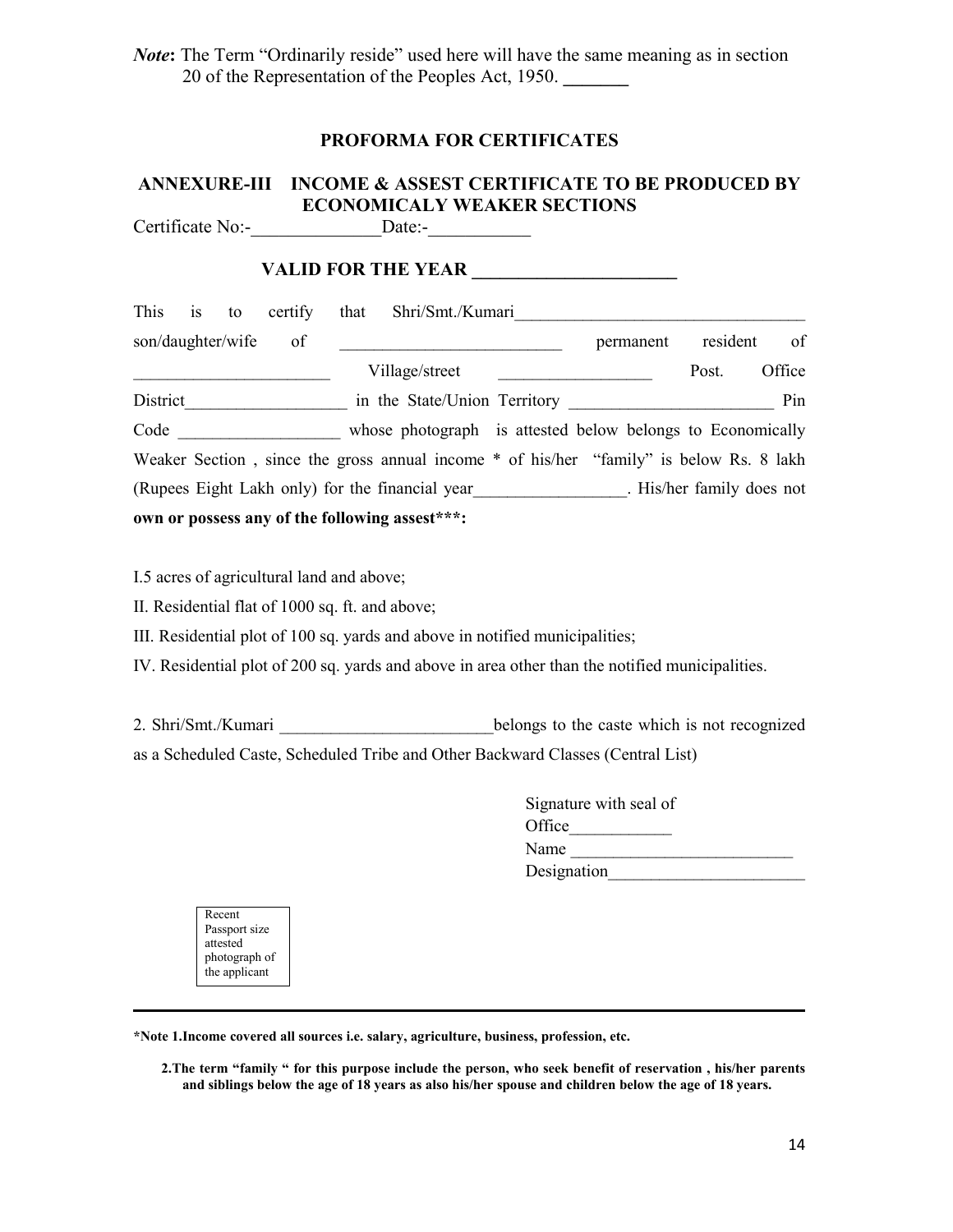*Note*: The Term "Ordinarily reside" used here will have the same meaning as in section 20 of the Representation of the Peoples Act, 1950. **\_\_\_\_\_\_\_**

#### **PROFORMA FOR CERTIFICATES**

## **ANNEXURE-III INCOME & ASSEST CERTIFICATE TO BE PRODUCED BY ECONOMICALY WEAKER SECTIONS**

Certificate No:-\_\_\_\_\_\_\_\_\_\_\_\_\_\_Date:-\_\_\_\_\_\_\_\_\_\_\_

#### **VALID FOR THE YEAR \_\_\_\_\_\_\_\_\_\_\_\_\_\_\_\_\_\_\_\_\_\_**

| This is to<br>certify                          | that Shri/Smt./Kumari                                                                   |           |          |        |
|------------------------------------------------|-----------------------------------------------------------------------------------------|-----------|----------|--------|
| son/daughter/wife<br>of                        |                                                                                         | permanent | resident | of     |
|                                                | Village/street                                                                          |           | Post.    | Office |
| District                                       | in the State/Union Territory                                                            |           |          | Pin    |
| Code                                           | whose photograph is attested below belongs to Economically                              |           |          |        |
|                                                | Weaker Section, since the gross annual income * of his/her "family" is below Rs. 8 lakh |           |          |        |
|                                                | (Rupees Eight Lakh only) for the financial year This/her family does not                |           |          |        |
| own or possess any of the following assest***: |                                                                                         |           |          |        |

I.5 acres of agricultural land and above;

II. Residential flat of 1000 sq. ft. and above;

III. Residential plot of 100 sq. yards and above in notified municipalities;

IV. Residential plot of 200 sq. yards and above in area other than the notified municipalities.

2. Shri/Smt./Kumari \_\_\_\_\_\_\_\_\_\_\_\_\_\_\_\_\_\_\_\_\_\_\_\_\_\_\_\_\_\_\_belongs to the caste which is not recognized as a Scheduled Caste, Scheduled Tribe and Other Backward Classes (Central List)

| Signature with seal of |  |
|------------------------|--|
| Office                 |  |
| Name                   |  |
| Designation            |  |
|                        |  |

| Recent        |  |
|---------------|--|
| Passport size |  |
| attested      |  |
| photograph of |  |
| the applicant |  |
|               |  |

**\*Note 1.Income covered all sources i.e. salary, agriculture, business, profession, etc.**

2. The term "family " for this purpose include the person, who seek benefit of reservation, his/her parents and siblings below the age of 18 years as also his/her spouse and children below the age of 18 years.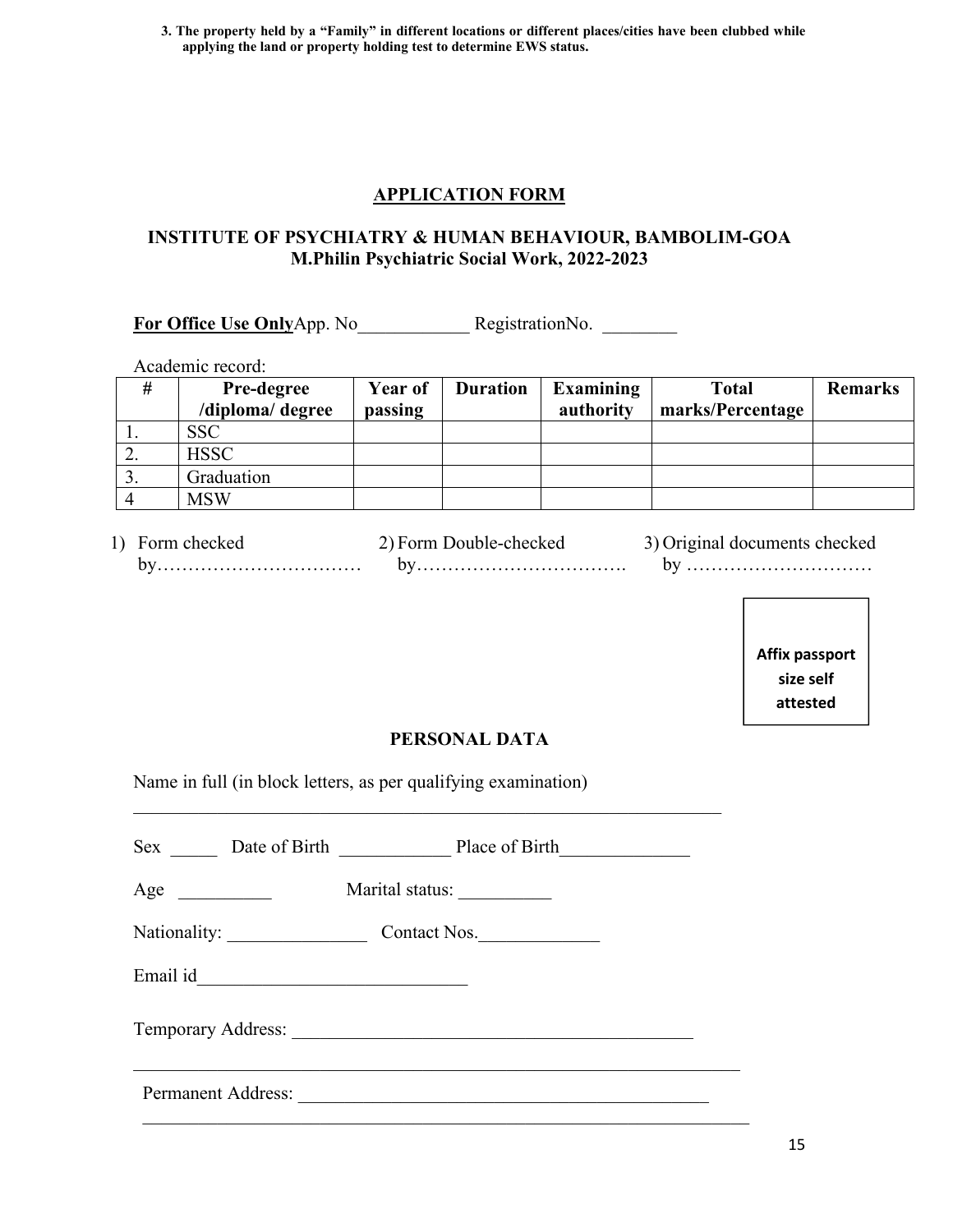3. The property held by a "Family" in different locations or different places/cities have been clubbed while **applying the land or property holding test to determine EWS status.**

#### **APPLICATION FORM**

#### **INSTITUTE OF PSYCHIATRY & HUMAN BEHAVIOUR, BAMBOLIM-GOA M.Philin Psychiatric Social Work, 2022-2023**

**For Office Use Only**App. No **RegistrationNo.** 

Academic record:

| #                | <b>Pre-degree</b><br>/diploma/ degree | Year of<br>passing | <b>Duration</b> | Examining<br>authority | Total<br>marks/Percentage | <b>Remarks</b> |
|------------------|---------------------------------------|--------------------|-----------------|------------------------|---------------------------|----------------|
|                  | <b>SSC</b>                            |                    |                 |                        |                           |                |
| ∠.               | <b>HSSC</b>                           |                    |                 |                        |                           |                |
| $\overline{3}$ . | Graduation                            |                    |                 |                        |                           |                |
| $\overline{4}$   | <b>MSW</b>                            |                    |                 |                        |                           |                |

| checke<br>orr | ∗∩rn<br>Λh<br>. JOUF<br>1017<br>.ne | checke<br>.cuments<br>ша |
|---------------|-------------------------------------|--------------------------|
| . דר          | . .                                 | nт                       |
| .             | .                                   | .                        |
|               |                                     |                          |

**Affix passport size self attested**

**photographs** 

#### **PERSONAL DATA**

 $\mathcal{L}_\text{max}$  , and the contribution of the contribution of the contribution of the contribution of the contribution of the contribution of the contribution of the contribution of the contribution of the contribution of t

Name in full (in block letters, as per qualifying examination)

| Age |                               | Marital status:                               |  |
|-----|-------------------------------|-----------------------------------------------|--|
|     | Nationality: ________________ | Contact Nos.                                  |  |
|     |                               | Email id <u>expression</u>                    |  |
|     |                               |                                               |  |
|     | Permanent Address:            | <u> 1989 - Andrea Andrew Maria (h. 1989).</u> |  |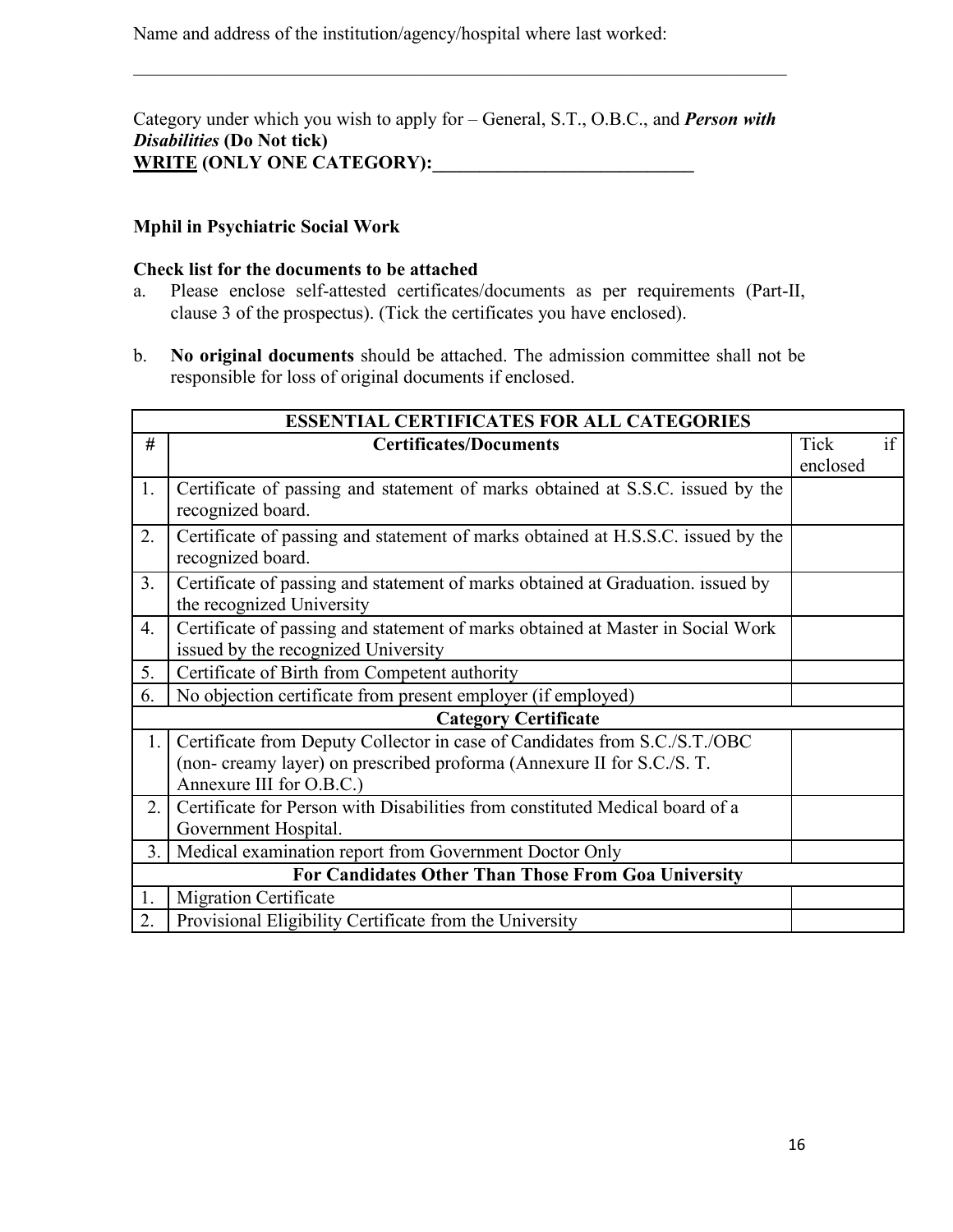Name and address of the institution/agency/hospital where last worked:

Category under which you wish to apply for – General, S.T., O.B.C., and *Person with Disabilities* **(Do Not tick)** WRITE **(ONLY ONE CATEGORY):** 

 $\mathcal{L}_\mathcal{L}$  , and the contribution of the contribution of the contribution of the contribution of the contribution of the contribution of the contribution of the contribution of the contribution of the contribution of

#### **Mphil in Psychiatric Social Work**

#### **Check list for the documents to be attached**

- a. Please enclose self-attested certificates/documents as per requirements (Part-II, clause 3 of the prospectus). (Tick the certificates you have enclosed).
- b. **No original documents** should be attached. The admission committee shall not be responsible for loss of original documents if enclosed.

|                  | <b>ESSENTIAL CERTIFICATES FOR ALL CATEGORIES</b>                                                                                                                                 |                  |    |
|------------------|----------------------------------------------------------------------------------------------------------------------------------------------------------------------------------|------------------|----|
| #                | <b>Certificates/Documents</b>                                                                                                                                                    | Tick<br>enclosed | if |
| 1.               | Certificate of passing and statement of marks obtained at S.S.C. issued by the<br>recognized board.                                                                              |                  |    |
| 2.               | Certificate of passing and statement of marks obtained at H.S.S.C. issued by the<br>recognized board.                                                                            |                  |    |
| 3.               | Certificate of passing and statement of marks obtained at Graduation. issued by<br>the recognized University                                                                     |                  |    |
| $\overline{4}$ . | Certificate of passing and statement of marks obtained at Master in Social Work<br>issued by the recognized University                                                           |                  |    |
| 5.               | Certificate of Birth from Competent authority                                                                                                                                    |                  |    |
| 6.               | No objection certificate from present employer (if employed)                                                                                                                     |                  |    |
|                  | <b>Category Certificate</b>                                                                                                                                                      |                  |    |
| 1.1              | Certificate from Deputy Collector in case of Candidates from S.C./S.T./OBC<br>(non- creamy layer) on prescribed proforma (Annexure II for S.C./S. T.<br>Annexure III for O.B.C.) |                  |    |
| 2.               | Certificate for Person with Disabilities from constituted Medical board of a<br>Government Hospital.                                                                             |                  |    |
| 3.1              | Medical examination report from Government Doctor Only                                                                                                                           |                  |    |
|                  | For Candidates Other Than Those From Goa University                                                                                                                              |                  |    |
| 1.               | <b>Migration Certificate</b>                                                                                                                                                     |                  |    |
| 2.               | Provisional Eligibility Certificate from the University                                                                                                                          |                  |    |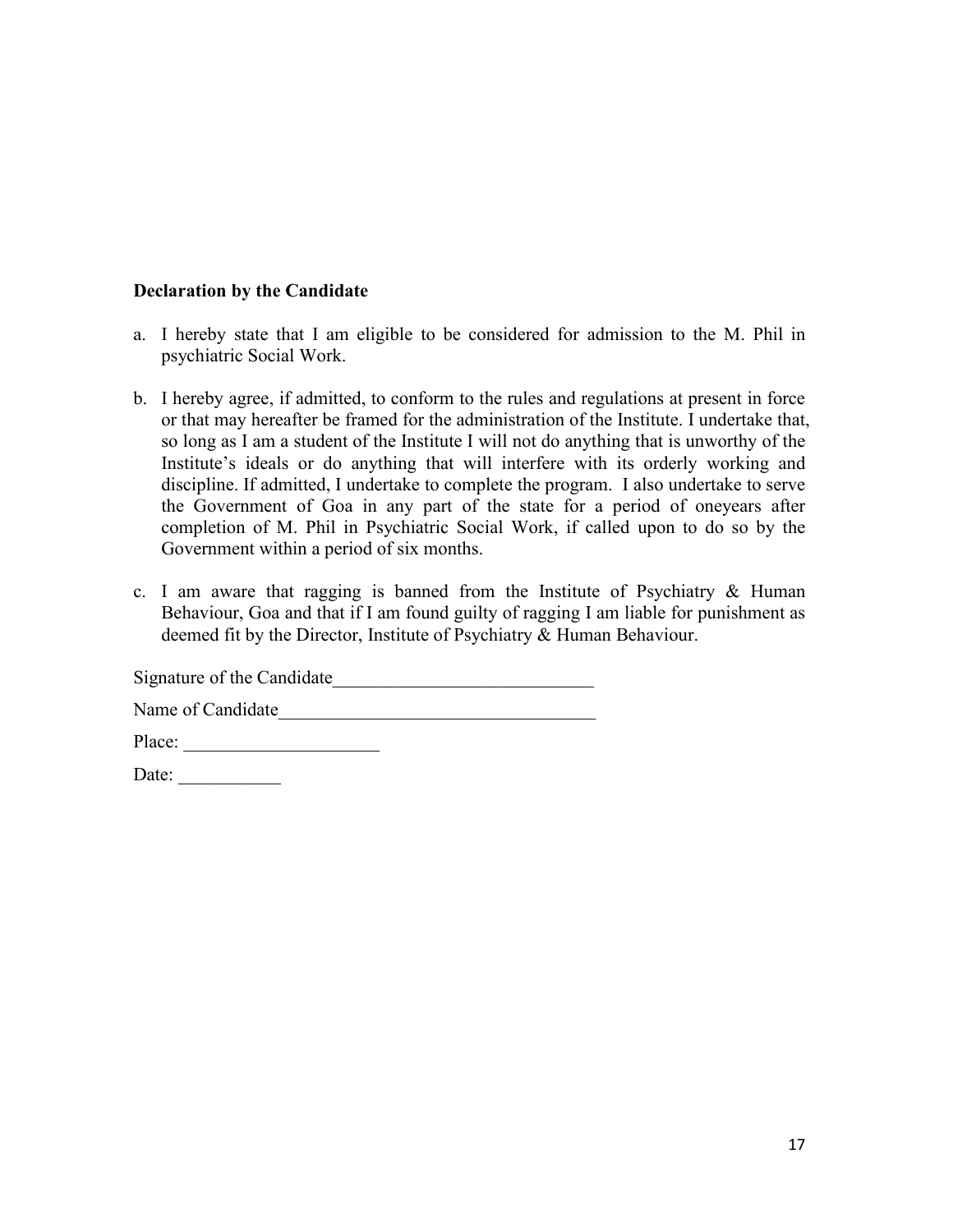#### **Declaration by the Candidate**

- a. I hereby state that I am eligible to be considered for admission to the M. Phil in psychiatric Social Work.
- b. I hereby agree, if admitted, to conform to the rules and regulations at present in force or that may hereafter be framed for the administration of the Institute. I undertake that, so long as I am a student of the Institute I will not do anything that is unworthy of the Institute's ideals or do anything that will interfere with its orderly working and discipline. If admitted, I undertake to complete the program. I also undertake to serve the Government of Goa in any part of the state for a period of oneyears after completion of M. Phil in Psychiatric Social Work, if called upon to do so by the Government within a period of six months.
- c. I am aware that ragging is banned from the Institute of Psychiatry & Human Behaviour, Goa and that if I am found guilty of ragging I am liable for punishment as deemed fit by the Director, Institute of Psychiatry & Human Behaviour.

Signature of the Candidate\_\_\_\_\_\_\_\_\_\_\_\_\_\_\_\_\_\_\_\_\_\_\_\_\_\_\_\_

Name of Candidate\_\_\_\_\_\_\_\_\_\_\_\_\_\_\_\_\_\_\_\_\_\_\_\_\_\_\_\_\_\_\_\_\_\_

Place: \_\_\_\_\_\_\_\_\_\_\_\_\_\_\_\_\_\_\_\_\_

Date: \_\_\_\_\_\_\_\_\_\_\_